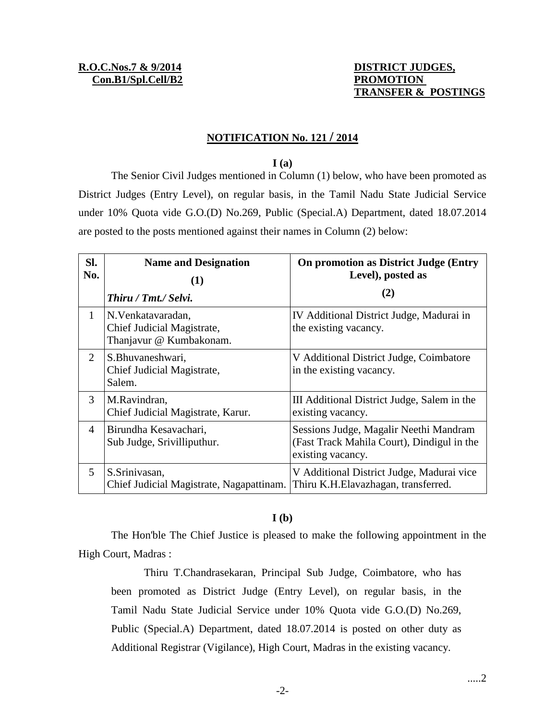# **TRANSFER & POSTINGS**

### **NOTIFICATION No. 121 / 2014**

#### **I (a)**

The Senior Civil Judges mentioned in Column (1) below, who have been promoted as District Judges (Entry Level), on regular basis, in the Tamil Nadu State Judicial Service under 10% Quota vide G.O.(D) No.269, Public (Special.A) Department, dated 18.07.2014 are posted to the posts mentioned against their names in Column (2) below:

| SI.<br>No.     | <b>Name and Designation</b><br>(1)<br>Thiru / Tmt./ Selvi.                  | On promotion as District Judge (Entry<br>Level), posted as<br>(2)                                         |
|----------------|-----------------------------------------------------------------------------|-----------------------------------------------------------------------------------------------------------|
| 1              | N. Venkatavaradan,<br>Chief Judicial Magistrate,<br>Thanjavur @ Kumbakonam. | IV Additional District Judge, Madurai in<br>the existing vacancy.                                         |
| 2              | S.Bhuvaneshwari,<br>Chief Judicial Magistrate,<br>Salem.                    | V Additional District Judge, Coimbatore<br>in the existing vacancy.                                       |
| 3              | M.Ravindran,<br>Chief Judicial Magistrate, Karur.                           | III Additional District Judge, Salem in the<br>existing vacancy.                                          |
| $\overline{4}$ | Birundha Kesavachari,<br>Sub Judge, Srivilliputhur.                         | Sessions Judge, Magalir Neethi Mandram<br>(Fast Track Mahila Court), Dindigul in the<br>existing vacancy. |
| 5              | S.Srinivasan,<br>Chief Judicial Magistrate, Nagapattinam.                   | V Additional District Judge, Madurai vice<br>Thiru K.H.Elavazhagan, transferred.                          |

#### **I (b)**

The Hon'ble The Chief Justice is pleased to make the following appointment in the High Court, Madras :

Thiru T.Chandrasekaran, Principal Sub Judge, Coimbatore, who has been promoted as District Judge (Entry Level), on regular basis, in the Tamil Nadu State Judicial Service under 10% Quota vide G.O.(D) No.269, Public (Special.A) Department, dated 18.07.2014 is posted on other duty as Additional Registrar (Vigilance), High Court, Madras in the existing vacancy.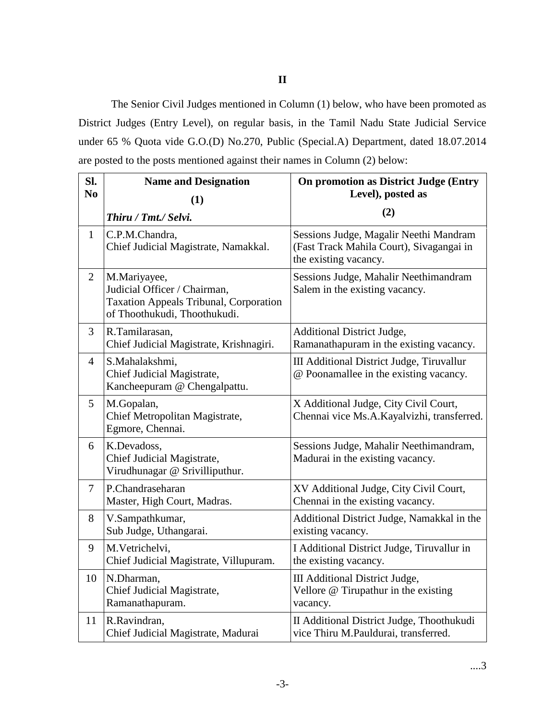#### **II**

The Senior Civil Judges mentioned in Column (1) below, who have been promoted as District Judges (Entry Level), on regular basis, in the Tamil Nadu State Judicial Service under 65 % Quota vide G.O.(D) No.270, Public (Special.A) Department, dated 18.07.2014 are posted to the posts mentioned against their names in Column (2) below:

| SI.<br>N <sub>0</sub> | <b>Name and Designation</b><br>(1)                                                                                            | <b>On promotion as District Judge (Entry</b><br>Level), posted as                                           |
|-----------------------|-------------------------------------------------------------------------------------------------------------------------------|-------------------------------------------------------------------------------------------------------------|
|                       | Thiru / Tmt./ Selvi.                                                                                                          | (2)                                                                                                         |
| $\mathbf{1}$          | C.P.M.Chandra,<br>Chief Judicial Magistrate, Namakkal.                                                                        | Sessions Judge, Magalir Neethi Mandram<br>(Fast Track Mahila Court), Sivagangai in<br>the existing vacancy. |
| $\overline{2}$        | M.Mariyayee,<br>Judicial Officer / Chairman,<br><b>Taxation Appeals Tribunal, Corporation</b><br>of Thoothukudi, Thoothukudi. | Sessions Judge, Mahalir Neethimandram<br>Salem in the existing vacancy.                                     |
| 3                     | R.Tamilarasan,<br>Chief Judicial Magistrate, Krishnagiri.                                                                     | Additional District Judge,<br>Ramanathapuram in the existing vacancy.                                       |
| $\overline{4}$        | S.Mahalakshmi,<br>Chief Judicial Magistrate,<br>Kancheepuram @ Chengalpattu.                                                  | <b>III Additional District Judge, Tiruvallur</b><br>@ Poonamallee in the existing vacancy.                  |
| 5                     | M.Gopalan,<br>Chief Metropolitan Magistrate,<br>Egmore, Chennai.                                                              | X Additional Judge, City Civil Court,<br>Chennai vice Ms.A.Kayalvizhi, transferred.                         |
| 6                     | K.Devadoss,<br>Chief Judicial Magistrate,<br>Virudhunagar @ Srivilliputhur.                                                   | Sessions Judge, Mahalir Neethimandram,<br>Madurai in the existing vacancy.                                  |
| $\overline{7}$        | P.Chandraseharan<br>Master, High Court, Madras.                                                                               | XV Additional Judge, City Civil Court,<br>Chennai in the existing vacancy.                                  |
| 8                     | V.Sampathkumar,<br>Sub Judge, Uthangarai.                                                                                     | Additional District Judge, Namakkal in the<br>existing vacancy.                                             |
| 9                     | M.Vetrichelvi,<br>Chief Judicial Magistrate, Villupuram.                                                                      | I Additional District Judge, Tiruvallur in<br>the existing vacancy.                                         |
| 10                    | N.Dharman,<br>Chief Judicial Magistrate,<br>Ramanathapuram.                                                                   | <b>III</b> Additional District Judge,<br>Vellore @ Tirupathur in the existing<br>vacancy.                   |
| 11                    | R.Ravindran,<br>Chief Judicial Magistrate, Madurai                                                                            | II Additional District Judge, Thoothukudi<br>vice Thiru M.Pauldurai, transferred.                           |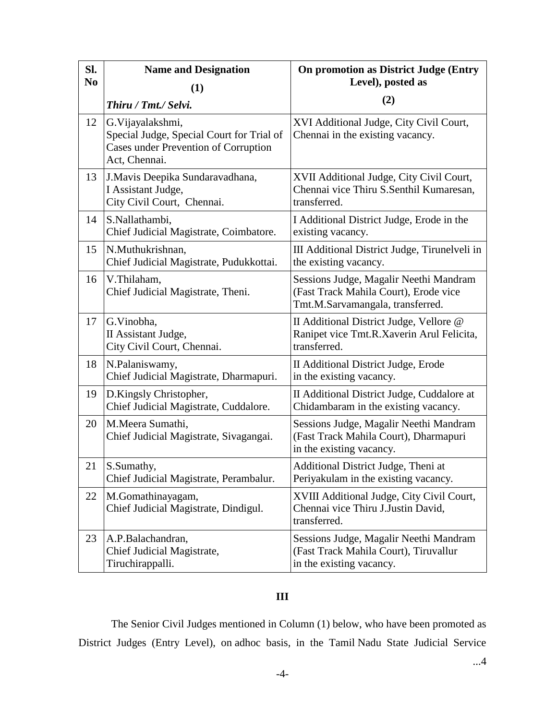| SI.            | <b>Name and Designation</b>                                                                                                    | <b>On promotion as District Judge (Entry</b>                                                                        |
|----------------|--------------------------------------------------------------------------------------------------------------------------------|---------------------------------------------------------------------------------------------------------------------|
| N <sub>0</sub> | (1)                                                                                                                            | Level), posted as                                                                                                   |
|                | Thiru / Tmt./ Selvi.                                                                                                           | (2)                                                                                                                 |
| 12             | G. Vijayalakshmi,<br>Special Judge, Special Court for Trial of<br><b>Cases under Prevention of Corruption</b><br>Act, Chennai. | XVI Additional Judge, City Civil Court,<br>Chennai in the existing vacancy.                                         |
| 13             | J. Mavis Deepika Sundaravadhana,<br>I Assistant Judge,<br>City Civil Court, Chennai.                                           | XVII Additional Judge, City Civil Court,<br>Chennai vice Thiru S.Senthil Kumaresan,<br>transferred.                 |
| 14             | S.Nallathambi,<br>Chief Judicial Magistrate, Coimbatore.                                                                       | I Additional District Judge, Erode in the<br>existing vacancy.                                                      |
| 15             | N.Muthukrishnan,<br>Chief Judicial Magistrate, Pudukkottai.                                                                    | III Additional District Judge, Tirunelveli in<br>the existing vacancy.                                              |
| 16             | V.Thilaham,<br>Chief Judicial Magistrate, Theni.                                                                               | Sessions Judge, Magalir Neethi Mandram<br>(Fast Track Mahila Court), Erode vice<br>Tmt.M.Sarvamangala, transferred. |
| 17             | G.Vinobha,<br>II Assistant Judge,<br>City Civil Court, Chennai.                                                                | II Additional District Judge, Vellore @<br>Ranipet vice Tmt.R.Xaverin Arul Felicita,<br>transferred.                |
| 18             | N.Palaniswamy,<br>Chief Judicial Magistrate, Dharmapuri.                                                                       | II Additional District Judge, Erode<br>in the existing vacancy.                                                     |
| 19             | D.Kingsly Christopher,<br>Chief Judicial Magistrate, Cuddalore.                                                                | II Additional District Judge, Cuddalore at<br>Chidambaram in the existing vacancy.                                  |
| 20             | M.Meera Sumathi,<br>Chief Judicial Magistrate, Sivagangai.                                                                     | Sessions Judge, Magalir Neethi Mandram<br>(Fast Track Mahila Court), Dharmapuri<br>in the existing vacancy.         |
| 21             | S.Sumathy,<br>Chief Judicial Magistrate, Perambalur.                                                                           | Additional District Judge, Theni at<br>Periyakulam in the existing vacancy.                                         |
| 22             | M.Gomathinayagam,<br>Chief Judicial Magistrate, Dindigul.                                                                      | XVIII Additional Judge, City Civil Court,<br>Chennai vice Thiru J.Justin David,<br>transferred.                     |
| 23             | A.P.Balachandran,<br>Chief Judicial Magistrate,<br>Tiruchirappalli.                                                            | Sessions Judge, Magalir Neethi Mandram<br>(Fast Track Mahila Court), Tiruvallur<br>in the existing vacancy.         |

## **III**

The Senior Civil Judges mentioned in Column (1) below, who have been promoted as District Judges (Entry Level), on adhoc basis, in the Tamil Nadu State Judicial Service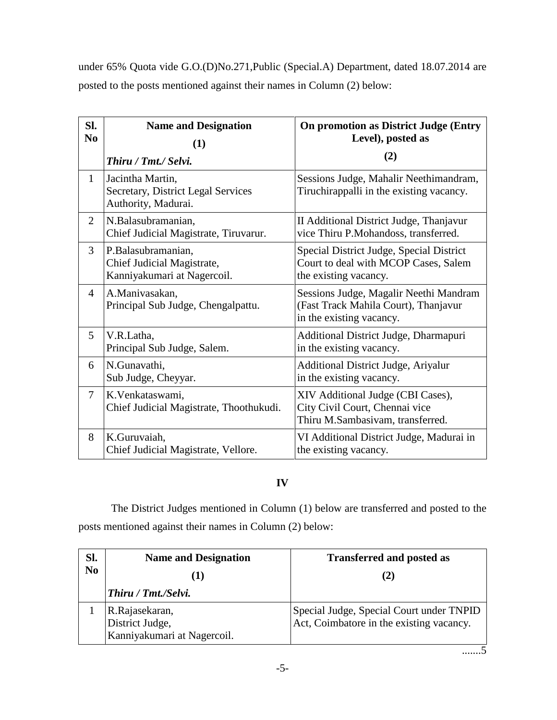under 65% Quota vide G.O.(D)No.271,Public (Special.A) Department, dated 18.07.2014 are posted to the posts mentioned against their names in Column (2) below:

| SI.            | <b>Name and Designation</b>                                                          | <b>On promotion as District Judge (Entry</b>                                                               |
|----------------|--------------------------------------------------------------------------------------|------------------------------------------------------------------------------------------------------------|
| N <sub>0</sub> | (1)                                                                                  | Level), posted as                                                                                          |
|                | Thiru / Tmt./ Selvi.                                                                 | (2)                                                                                                        |
| $\mathbf{1}$   | Jacintha Martin,<br><b>Secretary, District Legal Services</b><br>Authority, Madurai. | Sessions Judge, Mahalir Neethimandram,<br>Tiruchirappalli in the existing vacancy.                         |
| $\overline{2}$ | N.Balasubramanian,<br>Chief Judicial Magistrate, Tiruvarur.                          | II Additional District Judge, Thanjavur<br>vice Thiru P.Mohandoss, transferred.                            |
| 3              | P.Balasubramanian,<br>Chief Judicial Magistrate,<br>Kanniyakumari at Nagercoil.      | Special District Judge, Special District<br>Court to deal with MCOP Cases, Salem<br>the existing vacancy.  |
| $\overline{4}$ | A.Manivasakan,<br>Principal Sub Judge, Chengalpattu.                                 | Sessions Judge, Magalir Neethi Mandram<br>(Fast Track Mahila Court), Thanjavur<br>in the existing vacancy. |
| 5              | V.R.Latha,<br>Principal Sub Judge, Salem.                                            | Additional District Judge, Dharmapuri<br>in the existing vacancy.                                          |
| 6              | N.Gunavathi,<br>Sub Judge, Cheyyar.                                                  | <b>Additional District Judge, Ariyalur</b><br>in the existing vacancy.                                     |
| $\overline{7}$ | K.Venkataswami,<br>Chief Judicial Magistrate, Thoothukudi.                           | XIV Additional Judge (CBI Cases),<br>City Civil Court, Chennai vice<br>Thiru M.Sambasivam, transferred.    |
| 8              | K.Guruvaiah,<br>Chief Judicial Magistrate, Vellore.                                  | VI Additional District Judge, Madurai in<br>the existing vacancy.                                          |

## **IV**

The District Judges mentioned in Column (1) below are transferred and posted to the posts mentioned against their names in Column (2) below:

| Sl.            | <b>Name and Designation</b>                                      | <b>Transferred and posted as</b>                                                     |
|----------------|------------------------------------------------------------------|--------------------------------------------------------------------------------------|
| N <sub>0</sub> |                                                                  | (2)                                                                                  |
|                | Thiru / Tmt./Selvi.                                              |                                                                                      |
|                | R.Rajasekaran,<br>District Judge,<br>Kanniyakumari at Nagercoil. | Special Judge, Special Court under TNPID<br>Act, Coimbatore in the existing vacancy. |

.......5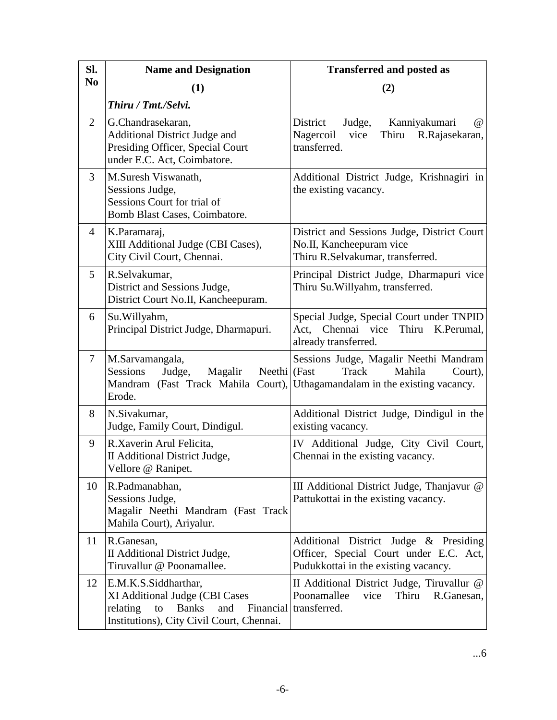| SI.            | <b>Name and Designation</b>                                                                                                                  | <b>Transferred and posted as</b>                                                                                                                   |
|----------------|----------------------------------------------------------------------------------------------------------------------------------------------|----------------------------------------------------------------------------------------------------------------------------------------------------|
| N <sub>0</sub> | (1)                                                                                                                                          | (2)                                                                                                                                                |
|                | Thiru / Tmt./Selvi.                                                                                                                          |                                                                                                                                                    |
| $\overline{2}$ | G.Chandrasekaran,<br><b>Additional District Judge and</b><br>Presiding Officer, Special Court<br>under E.C. Act, Coimbatore.                 | District<br>Kanniyakumari<br>$\omega$<br>Judge,<br>Thiru<br>Nagercoil<br>vice<br>R.Rajasekaran,<br>transferred.                                    |
| 3              | M.Suresh Viswanath,<br>Sessions Judge,<br>Sessions Court for trial of<br>Bomb Blast Cases, Coimbatore.                                       | Additional District Judge, Krishnagiri in<br>the existing vacancy.                                                                                 |
| 4              | K.Paramaraj,<br>XIII Additional Judge (CBI Cases),<br>City Civil Court, Chennai.                                                             | District and Sessions Judge, District Court<br>No.II, Kancheepuram vice<br>Thiru R.Selvakumar, transferred.                                        |
| 5              | R.Selvakumar,<br>District and Sessions Judge,<br>District Court No.II, Kancheepuram.                                                         | Principal District Judge, Dharmapuri vice<br>Thiru Su. Willyahm, transferred.                                                                      |
| 6              | Su.Willyahm,<br>Principal District Judge, Dharmapuri.                                                                                        | Special Judge, Special Court under TNPID<br>Thiru K.Perumal,<br>Act, Chennai vice<br>already transferred.                                          |
| $\tau$         | M.Sarvamangala,<br>Neethi (Fast<br>Sessions<br>Judge,<br>Magalir<br>Erode.                                                                   | Sessions Judge, Magalir Neethi Mandram<br>Track<br>Mahila<br>Court),<br>Mandram (Fast Track Mahila Court), Uthagamandalam in the existing vacancy. |
| 8              | N.Sivakumar,<br>Judge, Family Court, Dindigul.                                                                                               | Additional District Judge, Dindigul in the<br>existing vacancy.                                                                                    |
| 9              | R.Xaverin Arul Felicita,<br>II Additional District Judge,<br>Vellore @ Ranipet.                                                              | IV Additional Judge, City Civil Court,<br>Chennai in the existing vacancy.                                                                         |
| 10             | R.Padmanabhan,<br>Sessions Judge,<br>Magalir Neethi Mandram (Fast Track<br>Mahila Court), Ariyalur.                                          | III Additional District Judge, Thanjavur @<br>Pattukottai in the existing vacancy.                                                                 |
| 11             | R.Ganesan,<br>II Additional District Judge,<br>Tiruvallur @ Poonamallee.                                                                     | Additional District Judge & Presiding<br>Officer, Special Court under E.C. Act,<br>Pudukkottai in the existing vacancy.                            |
| 12             | E.M.K.S.Siddharthar,<br>XI Additional Judge (CBI Cases<br><b>Banks</b><br>relating<br>to<br>and<br>Institutions), City Civil Court, Chennai. | II Additional District Judge, Tiruvallur @<br>Poonamallee<br>Thiru<br>vice<br>R.Ganesan,<br>Financial transferred.                                 |